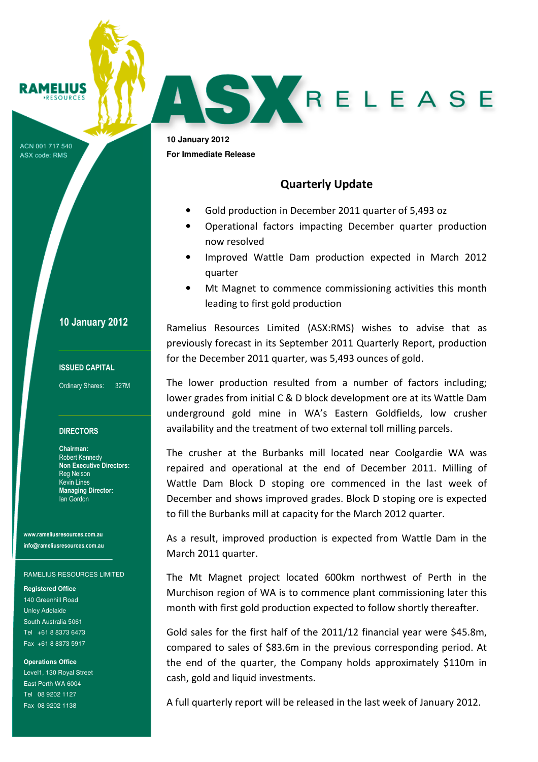# **RAMELIUS**

ACN 001 717 540 ASX code: RMS

### 10 January 2012

### ISSUED CAPITAL

Ordinary Shares: 327M

#### **DIRECTORS**

Chairman: Robert Kennedy Non Executive Directors: Reg Nelson Kevin Lines Managing Director: Ian Gordon

www.rameliusresources.com.au info@rameliusresources.com.au

#### RAMELIUS RESOURCES LIMITED

**Registered Office**  140 Greenhill Road Unley Adelaide South Australia 5061 Tel +61 8 8373 6473 Fax +61 8 8373 5917

**Operations Office**  Level1, 130 Royal Street East Perth WA 6004 Tel 08 9202 1127 Fax 08 9202 1138

**10 January 2012 For Immediate Release** 

## Quarterly Update

- Gold production in December 2011 quarter of 5,493 oz
- Operational factors impacting December quarter production now resolved

SKRELEASE

- Improved Wattle Dam production expected in March 2012 quarter
- Mt Magnet to commence commissioning activities this month leading to first gold production

Ramelius Resources Limited (ASX:RMS) wishes to advise that as previously forecast in its September 2011 Quarterly Report, production for the December 2011 quarter, was 5,493 ounces of gold.

The lower production resulted from a number of factors including; lower grades from initial C & D block development ore at its Wattle Dam underground gold mine in WA's Eastern Goldfields, low crusher availability and the treatment of two external toll milling parcels.

The crusher at the Burbanks mill located near Coolgardie WA was repaired and operational at the end of December 2011. Milling of Wattle Dam Block D stoping ore commenced in the last week of December and shows improved grades. Block D stoping ore is expected to fill the Burbanks mill at capacity for the March 2012 quarter.

As a result, improved production is expected from Wattle Dam in the March 2011 quarter.

The Mt Magnet project located 600km northwest of Perth in the Murchison region of WA is to commence plant commissioning later this month with first gold production expected to follow shortly thereafter.

Gold sales for the first half of the 2011/12 financial year were \$45.8m, compared to sales of \$83.6m in the previous corresponding period. At the end of the quarter, the Company holds approximately \$110m in cash, gold and liquid investments.

A full quarterly report will be released in the last week of January 2012.